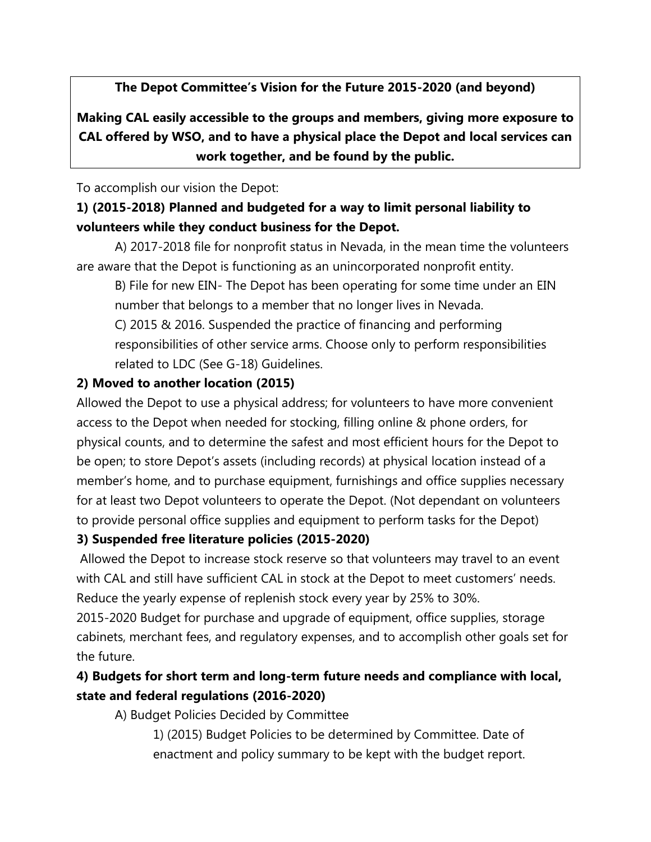**The Depot Committee's Vision for the Future 2015-2020 (and beyond)**

**Making CAL easily accessible to the groups and members, giving more exposure to CAL offered by WSO, and to have a physical place the Depot and local services can work together, and be found by the public.**

To accomplish our vision the Depot:

# **1) (2015-2018) Planned and budgeted for a way to limit personal liability to volunteers while they conduct business for the Depot.**

A) 2017-2018 file for nonprofit status in Nevada, in the mean time the volunteers are aware that the Depot is functioning as an unincorporated nonprofit entity.

B) File for new EIN- The Depot has been operating for some time under an EIN number that belongs to a member that no longer lives in Nevada.

C) 2015 & 2016. Suspended the practice of financing and performing responsibilities of other service arms. Choose only to perform responsibilities related to LDC (See G-18) Guidelines.

## **2) Moved to another location (2015)**

Allowed the Depot to use a physical address; for volunteers to have more convenient access to the Depot when needed for stocking, filling online & phone orders, for physical counts, and to determine the safest and most efficient hours for the Depot to be open; to store Depot's assets (including records) at physical location instead of a member's home, and to purchase equipment, furnishings and office supplies necessary for at least two Depot volunteers to operate the Depot. (Not dependant on volunteers to provide personal office supplies and equipment to perform tasks for the Depot)

### **3) Suspended free literature policies (2015-2020)**

Allowed the Depot to increase stock reserve so that volunteers may travel to an event with CAL and still have sufficient CAL in stock at the Depot to meet customers' needs. Reduce the yearly expense of replenish stock every year by 25% to 30%.

2015-2020 Budget for purchase and upgrade of equipment, office supplies, storage cabinets, merchant fees, and regulatory expenses, and to accomplish other goals set for the future.

# **4) Budgets for short term and long-term future needs and compliance with local, state and federal regulations (2016-2020)**

A) Budget Policies Decided by Committee

1) (2015) Budget Policies to be determined by Committee. Date of enactment and policy summary to be kept with the budget report.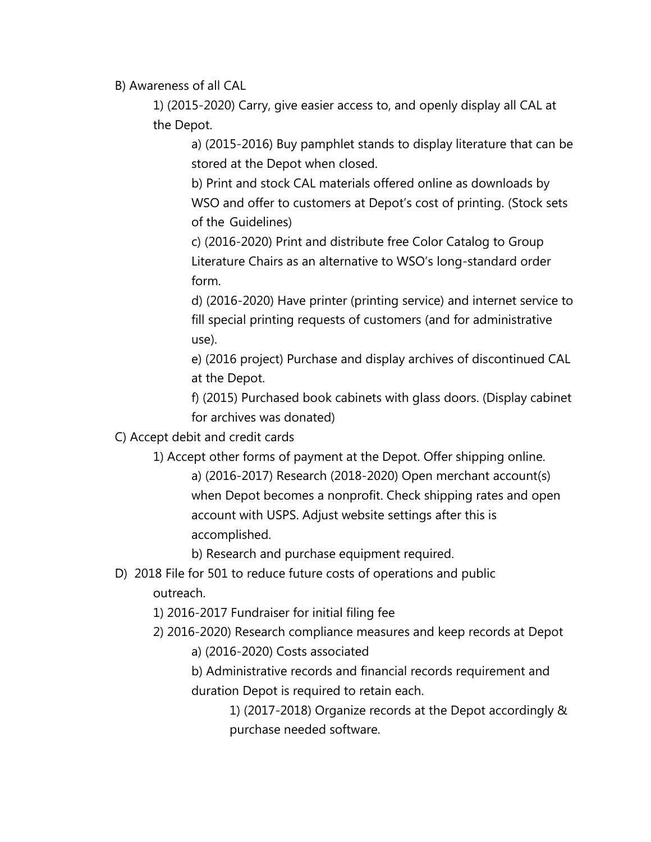B) Awareness of all CAL

1) (2015-2020) Carry, give easier access to, and openly display all CAL at the Depot.

a) (2015-2016) Buy pamphlet stands to display literature that can be stored at the Depot when closed.

b) Print and stock CAL materials offered online as downloads by WSO and offer to customers at Depot's cost of printing. (Stock sets of the Guidelines)

c) (2016-2020) Print and distribute free Color Catalog to Group Literature Chairs as an alternative to WSO's long-standard order form.

d) (2016-2020) Have printer (printing service) and internet service to fill special printing requests of customers (and for administrative use).

e) (2016 project) Purchase and display archives of discontinued CAL at the Depot.

f) (2015) Purchased book cabinets with glass doors. (Display cabinet for archives was donated)

C) Accept debit and credit cards

1) Accept other forms of payment at the Depot. Offer shipping online.

a) (2016-2017) Research (2018-2020) Open merchant account(s) when Depot becomes a nonprofit. Check shipping rates and open account with USPS. Adjust website settings after this is accomplished.

b) Research and purchase equipment required.

# D) 2018 File for 501 to reduce future costs of operations and public

outreach.

1) 2016-2017 Fundraiser for initial filing fee

2) 2016-2020) Research compliance measures and keep records at Depot

a) (2016-2020) Costs associated

b) Administrative records and financial records requirement and duration Depot is required to retain each.

> 1) (2017-2018) Organize records at the Depot accordingly & purchase needed software.